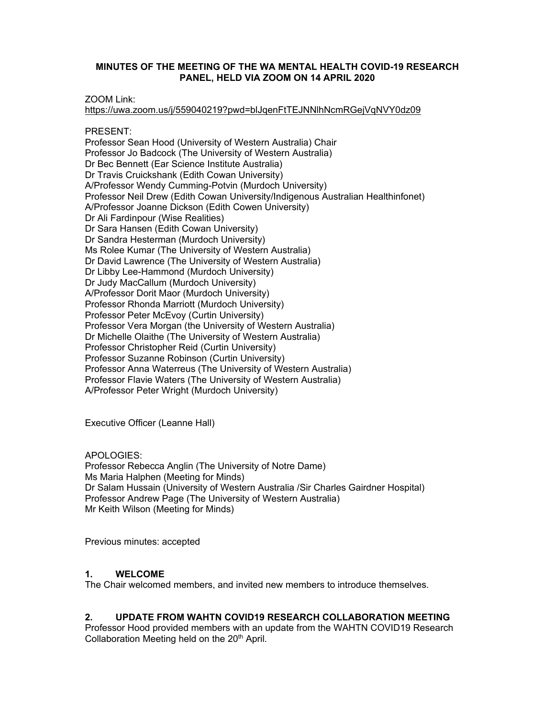### **MINUTES OF THE MEETING OF THE WA MENTAL HEALTH COVID-19 RESEARCH PANEL, HELD VIA ZOOM ON 14 APRIL 2020**

ZOOM Link:

https://uwa.zoom.us/j/559040219?pwd=blJqenFtTEJNNlhNcmRGejVqNVY0dz09

PRESENT:

Professor Sean Hood (University of Western Australia) Chair Professor Jo Badcock (The University of Western Australia) Dr Bec Bennett (Ear Science Institute Australia) Dr Travis Cruickshank (Edith Cowan University) A/Professor Wendy Cumming-Potvin (Murdoch University) Professor Neil Drew (Edith Cowan University/Indigenous Australian Healthinfonet) A/Professor Joanne Dickson (Edith Cowen University) Dr Ali Fardinpour (Wise Realities) Dr Sara Hansen (Edith Cowan University) Dr Sandra Hesterman (Murdoch University) Ms Rolee Kumar (The University of Western Australia) Dr David Lawrence (The University of Western Australia) Dr Libby Lee-Hammond (Murdoch University) Dr Judy MacCallum (Murdoch University) A/Professor Dorit Maor (Murdoch University) Professor Rhonda Marriott (Murdoch University) Professor Peter McEvoy (Curtin University) Professor Vera Morgan (the University of Western Australia) Dr Michelle Olaithe (The University of Western Australia) Professor Christopher Reid (Curtin University) Professor Suzanne Robinson (Curtin University) Professor Anna Waterreus (The University of Western Australia) Professor Flavie Waters (The University of Western Australia) A/Professor Peter Wright (Murdoch University)

Executive Officer (Leanne Hall)

APOLOGIES:

Professor Rebecca Anglin (The University of Notre Dame) Ms Maria Halphen (Meeting for Minds) Dr Salam Hussain (University of Western Australia /Sir Charles Gairdner Hospital) Professor Andrew Page (The University of Western Australia) Mr Keith Wilson (Meeting for Minds)

Previous minutes: accepted

## **1. WELCOME**

The Chair welcomed members, and invited new members to introduce themselves.

## **2. UPDATE FROM WAHTN COVID19 RESEARCH COLLABORATION MEETING**

Professor Hood provided members with an update from the WAHTN COVID19 Research Collaboration Meeting held on the 20<sup>th</sup> April.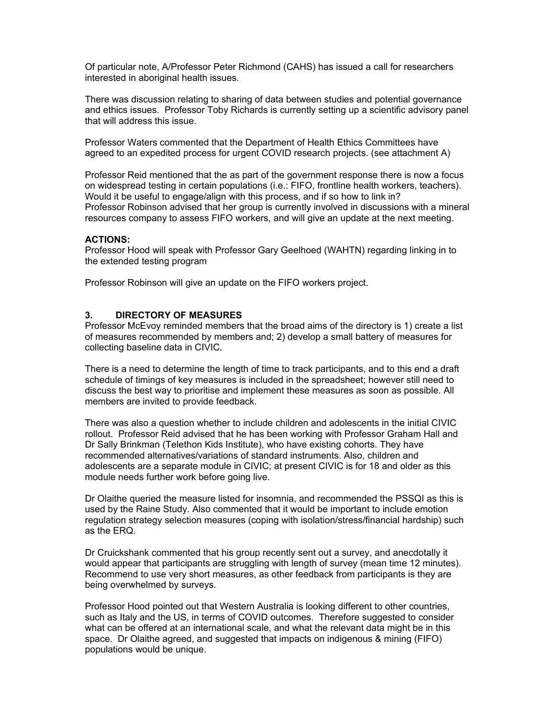Of particular note, A/Professor Peter Richmond (CAHS) has issued a call for researchers interested in aboriginal health issues.

There was discussion relating to sharing of data between studies and potential governance and ethics issues. Professor Toby Richards is currently setting up a scientific advisory panel that will address this issue.

Professor Waters commented that the Department of Health Ethics Committees have agreed to an expedited process for urgent COVID research projects. (see attachment A)

Professor Reid mentioned that the as part of the government response there is now a focus on widespread testing in certain populations (i.e.: FIFO, frontline health workers, teachers). Would it be useful to engage/align with this process, and if so how to link in? Professor Robinson advised that her group is currently involved in discussions with a mineral resources company to assess FIFO workers, and will give an update at the next meeting.

#### **ACTIONS:**

Professor Hood will speak with Professor Gary Geelhoed (WAHTN) regarding linking in to the extended testing program

Professor Robinson will give an update on the FIFO workers project.

#### **3. DIRECTORY OF MEASURES**

Professor McEvoy reminded members that the broad aims of the directory is 1) create a list of measures recommended by members and; 2) develop a small battery of measures for collecting baseline data in CIVIC.

There is a need to determine the length of time to track participants, and to this end a draft schedule of timings of key measures is included in the spreadsheet; however still need to discuss the best way to prioritise and implement these measures as soon as possible. All members are invited to provide feedback.

There was also a question whether to include children and adolescents in the initial CIVIC rollout. Professor Reid advised that he has been working with Professor Graham Hall and Dr Sally Brinkman (Telethon Kids Institute), who have existing cohorts. They have recommended alternatives/variations of standard instruments. Also, children and adolescents are a separate module in CIVIC; at present CIVIC is for 18 and older as this module needs further work before going live.

Dr Olaithe queried the measure listed for insomnia, and recommended the PSSQI as this is used by the Raine Study. Also commented that it would be important to include emotion regulation strategy selection measures (coping with isolation/stress/financial hardship) such as the ERQ.

Dr Cruickshank commented that his group recently sent out a survey, and anecdotally it would appear that participants are struggling with length of survey (mean time 12 minutes). Recommend to use very short measures, as other feedback from participants is they are being overwhelmed by surveys.

Professor Hood pointed out that Western Australia is looking different to other countries, such as Italy and the US, in terms of COVID outcomes. Therefore suggested to consider what can be offered at an international scale, and what the relevant data might be in this space. Dr Olaithe agreed, and suggested that impacts on indigenous & mining (FIFO) populations would be unique.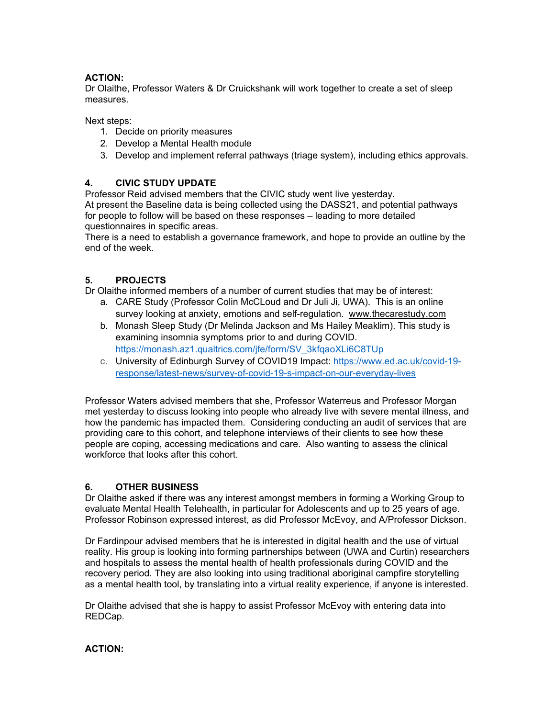# **ACTION:**

Dr Olaithe, Professor Waters & Dr Cruickshank will work together to create a set of sleep measures.

Next steps:

- 1. Decide on priority measures
- 2. Develop a Mental Health module
- 3. Develop and implement referral pathways (triage system), including ethics approvals.

## **4. CIVIC STUDY UPDATE**

Professor Reid advised members that the CIVIC study went live yesterday.

At present the Baseline data is being collected using the DASS21, and potential pathways for people to follow will be based on these responses – leading to more detailed questionnaires in specific areas.

There is a need to establish a governance framework, and hope to provide an outline by the end of the week.

## **5. PROJECTS**

Dr Olaithe informed members of a number of current studies that may be of interest:

- a. CARE Study (Professor Colin McCLoud and Dr Juli Ji, UWA). This is an online survey looking at anxiety, emotions and self-regulation. www.thecarestudy.com
- b. Monash Sleep Study (Dr Melinda Jackson and Ms Hailey Meaklim). This study is examining insomnia symptoms prior to and during COVID. https://monash.az1.qualtrics.com/jfe/form/SV\_3kfqaoXLi6C8TUp
- c. University of Edinburgh Survey of COVID19 Impact: https://www.ed.ac.uk/covid-19 response/latest-news/survey-of-covid-19-s-impact-on-our-everyday-lives

Professor Waters advised members that she, Professor Waterreus and Professor Morgan met yesterday to discuss looking into people who already live with severe mental illness, and how the pandemic has impacted them. Considering conducting an audit of services that are providing care to this cohort, and telephone interviews of their clients to see how these people are coping, accessing medications and care. Also wanting to assess the clinical workforce that looks after this cohort.

# **6. OTHER BUSINESS**

Dr Olaithe asked if there was any interest amongst members in forming a Working Group to evaluate Mental Health Telehealth, in particular for Adolescents and up to 25 years of age. Professor Robinson expressed interest, as did Professor McEvoy, and A/Professor Dickson.

Dr Fardinpour advised members that he is interested in digital health and the use of virtual reality. His group is looking into forming partnerships between (UWA and Curtin) researchers and hospitals to assess the mental health of health professionals during COVID and the recovery period. They are also looking into using traditional aboriginal campfire storytelling as a mental health tool, by translating into a virtual reality experience, if anyone is interested.

Dr Olaithe advised that she is happy to assist Professor McEvoy with entering data into REDCap.

# **ACTION:**